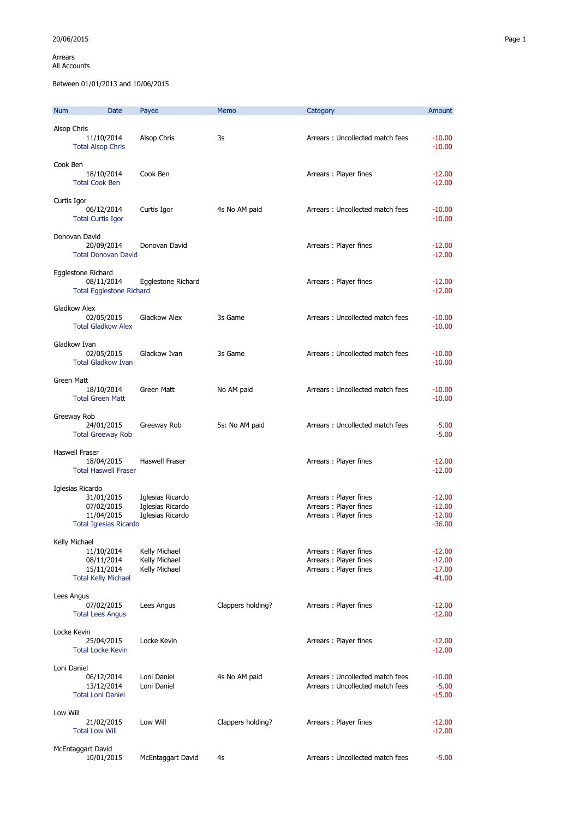Arrears All Accounts

Between 01/01/2013 and 10/06/2015

| <b>Num</b>        | Date                                                                                        | Payee                                                    | Memo              | Category                                                                | Amount                                       |
|-------------------|---------------------------------------------------------------------------------------------|----------------------------------------------------------|-------------------|-------------------------------------------------------------------------|----------------------------------------------|
| Alsop Chris       | 11/10/2014<br><b>Total Alsop Chris</b>                                                      | Alsop Chris                                              | 3s                | Arrears: Uncollected match fees                                         | $-10.00$<br>$-10.00$                         |
| Cook Ben          | 18/10/2014<br><b>Total Cook Ben</b>                                                         | Cook Ben                                                 |                   | Arrears: Player fines                                                   | $-12.00$<br>$-12.00$                         |
| Curtis Igor       | 06/12/2014<br><b>Total Curtis Igor</b>                                                      | Curtis Igor                                              | 4s No AM paid     | Arrears: Uncollected match fees                                         | $-10.00$<br>$-10.00$                         |
|                   | Donovan David<br>20/09/2014<br><b>Total Donovan David</b>                                   | Donovan David                                            |                   | Arrears: Player fines                                                   | $-12.00$<br>$-12.00$                         |
|                   | Egglestone Richard<br>08/11/2014<br><b>Total Egglestone Richard</b>                         | Egglestone Richard                                       |                   | Arrears: Player fines                                                   | $-12.00$<br>$-12.00$                         |
| Gladkow Alex      | 02/05/2015<br><b>Total Gladkow Alex</b>                                                     | Gladkow Alex                                             | 3s Game           | Arrears: Uncollected match fees                                         | $-10.00$<br>$-10.00$                         |
| Gladkow Ivan      | 02/05/2015<br><b>Total Gladkow Ivan</b>                                                     | Gladkow Ivan                                             | 3s Game           | Arrears: Uncollected match fees                                         | $-10.00$<br>$-10.00$                         |
| <b>Green Matt</b> | 18/10/2014<br><b>Total Green Matt</b>                                                       | Green Matt                                               | No AM paid        | Arrears: Uncollected match fees                                         | $-10.00$<br>$-10.00$                         |
| Greeway Rob       | 24/01/2015<br><b>Total Greeway Rob</b>                                                      | Greeway Rob                                              | 5s: No AM paid    | Arrears: Uncollected match fees                                         | $-5.00$<br>$-5.00$                           |
| Haswell Fraser    | 18/04/2015<br><b>Total Haswell Fraser</b>                                                   | Haswell Fraser                                           |                   | Arrears: Player fines                                                   | $-12.00$<br>$-12.00$                         |
|                   | Iglesias Ricardo<br>31/01/2015<br>07/02/2015<br>11/04/2015<br><b>Total Iglesias Ricardo</b> | Iglesias Ricardo<br>Iglesias Ricardo<br>Iglesias Ricardo |                   | Arrears: Player fines<br>Arrears: Player fines<br>Arrears: Player fines | $-12.00$<br>$-12.00$<br>$-12.00$<br>$-36.00$ |
| Kelly Michael     | 11/10/2014<br>08/11/2014<br>15/11/2014<br><b>Total Kelly Michael</b>                        | Kelly Michael<br>Kelly Michael<br>Kelly Michael          |                   | Arrears: Player fines<br>Arrears: Player fines<br>Arrears: Player fines | $-12.00$<br>$-12.00$<br>$-17.00$<br>$-41.00$ |
| Lees Angus        | 07/02/2015<br><b>Total Lees Angus</b>                                                       | Lees Angus                                               | Clappers holding? | Arrears: Player fines                                                   | $-12.00$<br>$-12.00$                         |
| Locke Kevin       | 25/04/2015<br><b>Total Locke Kevin</b>                                                      | Locke Kevin                                              |                   | Arrears: Player fines                                                   | $-12.00$<br>$-12.00$                         |
| Loni Daniel       | 06/12/2014<br>13/12/2014<br><b>Total Loni Daniel</b>                                        | Loni Daniel<br>Loni Daniel                               | 4s No AM paid     | Arrears: Uncollected match fees<br>Arrears: Uncollected match fees      | $-10.00$<br>$-5.00$<br>$-15.00$              |
| Low Will          | 21/02/2015<br><b>Total Low Will</b>                                                         | Low Will                                                 | Clappers holding? | Arrears: Player fines                                                   | $-12.00$<br>$-12.00$                         |
|                   | McEntaggart David<br>10/01/2015                                                             | McEntaggart David                                        | 4s                | Arrears: Uncollected match fees                                         | $-5.00$                                      |